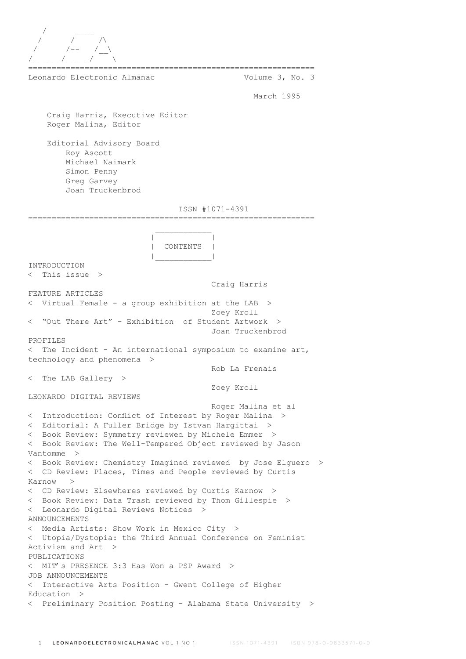

Leonardo Electronic Almanac Volume 3, No. 3

March 1995

 Craig Harris, Executive Editor Roger Malina, Editor

 Editorial Advisory Board Roy Ascott Michael Naimark Simon Penny Greg Garvey Joan Truckenbrod

## ISSN #1071-4391

=============================================================  $\mathcal{L}_\text{max}$  and  $\mathcal{L}_\text{max}$  and  $\mathcal{L}_\text{max}$  and  $\mathcal{L}_\text{max}$  | | | CONTENTS | |\_\_\_\_\_\_\_\_\_\_\_\_| INTRODUCTION < This issue > Craig Harris FEATURE ARTICLES < Virtual Female - a group exhibition at the LAB > Zoey Kroll < "Out There Art" - Exhibition of Student Artwork > Joan Truckenbrod PROFILES  $\leq$  The Incident - An international symposium to examine art, technology and phenomena > Rob La Frenais < The LAB Gallery > Zoey Kroll LEONARDO DIGITAL REVIEWS Roger Malina et al < Introduction: Conflict of Interest by Roger Malina > < Editorial: A Fuller Bridge by Istvan Hargittai > < Book Review: Symmetry reviewed by Michele Emmer > < Book Review: The Well-Tempered Object reviewed by Jason Vantomme > < Book Review: Chemistry Imagined reviewed by Jose Elguero > < CD Review: Places, Times and People reviewed by Curtis Karnow > < CD Review: Elsewheres reviewed by Curtis Karnow > < Book Review: Data Trash reviewed by Thom Gillespie > < Leonardo Digital Reviews Notices > ANNOUNCEMENTS < Media Artists: Show Work in Mexico City > < Utopia/Dystopia: the Third Annual Conference on Feminist Activism and Art > PUBLICATIONS < MIT's PRESENCE 3:3 Has Won a PSP Award > JOB ANNOUNCEMENTS < Interactive Arts Position - Gwent College of Higher Education > < Preliminary Position Posting - Alabama State University >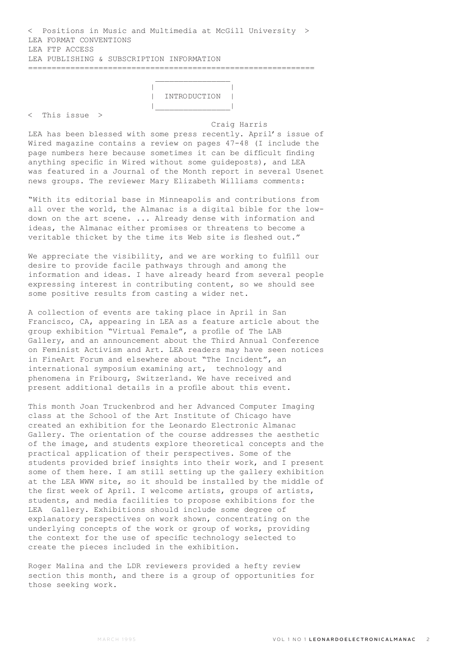< Positions in Music and Multimedia at McGill University > LEA FORMAT CONVENTIONS LEA FTP ACCESS LEA PUBLISHING & SUBSCRIPTION INFORMATION =============================================================

 $\mathcal{L}_\mathcal{L} = \{ \mathcal{L}_\mathcal{L} \mid \mathcal{L}_\mathcal{L} \in \mathcal{L}_\mathcal{L} \}$  , where  $\mathcal{L}_\mathcal{L} = \{ \mathcal{L}_\mathcal{L} \mid \mathcal{L}_\mathcal{L} \in \mathcal{L}_\mathcal{L} \}$ 

 | | | INTRODUCTION | |\_\_\_\_\_\_\_\_\_\_\_\_\_\_\_\_|

< This issue >

 Craig Harris LEA has been blessed with some press recently. April's issue of Wired magazine contains a review on pages 47-48 (I include the page numbers here because sometimes it can be difficult finding anything specific in Wired without some guideposts), and LEA was featured in a Journal of the Month report in several Usenet news groups. The reviewer Mary Elizabeth Williams comments:

"With its editorial base in Minneapolis and contributions from all over the world, the Almanac is a digital bible for the lowdown on the art scene. ... Already dense with information and ideas, the Almanac either promises or threatens to become a veritable thicket by the time its Web site is fleshed out."

We appreciate the visibility, and we are working to fulfill our desire to provide facile pathways through and among the information and ideas. I have already heard from several people expressing interest in contributing content, so we should see some positive results from casting a wider net.

A collection of events are taking place in April in San Francisco, CA, appearing in LEA as a feature article about the group exhibition "Virtual Female", a profile of The LAB Gallery, and an announcement about the Third Annual Conference on Feminist Activism and Art. LEA readers may have seen notices in FineArt Forum and elsewhere about "The Incident", an international symposium examining art, technology and phenomena in Fribourg, Switzerland. We have received and present additional details in a profile about this event.

This month Joan Truckenbrod and her Advanced Computer Imaging class at the School of the Art Institute of Chicago have created an exhibition for the Leonardo Electronic Almanac Gallery. The orientation of the course addresses the aesthetic of the image, and students explore theoretical concepts and the practical application of their perspectives. Some of the students provided brief insights into their work, and I present some of them here. I am still setting up the gallery exhibition at the LEA WWW site, so it should be installed by the middle of the first week of April. I welcome artists, groups of artists, students, and media facilities to propose exhibitions for the LEA Gallery. Exhibitions should include some degree of explanatory perspectives on work shown, concentrating on the underlying concepts of the work or group of works, providing the context for the use of specific technology selected to create the pieces included in the exhibition.

Roger Malina and the LDR reviewers provided a hefty review section this month, and there is a group of opportunities for those seeking work.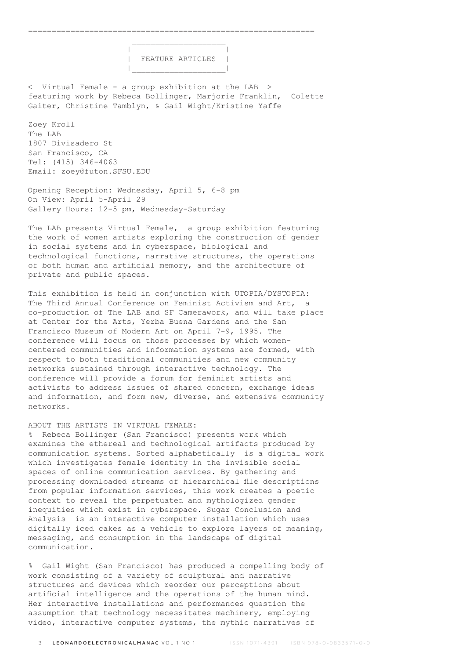| | | FEATURE ARTICLES | |\_\_\_\_\_\_\_\_\_\_\_\_\_\_\_\_\_\_\_\_|

< Virtual Female - a group exhibition at the LAB > featuring work by Rebeca Bollinger, Marjorie Franklin, Colette Gaiter, Christine Tamblyn, & Gail Wight/Kristine Yaffe

Zoey Kroll The LAB 1807 Divisadero St San Francisco, CA Tel: (415) 346-4063 Email: zoey@futon.SFSU.EDU

Opening Reception: Wednesday, April 5, 6-8 pm On View: April 5-April 29 Gallery Hours: 12-5 pm, Wednesday-Saturday

 $\mathcal{L}_\text{max}$  and  $\mathcal{L}_\text{max}$  are the set of  $\mathcal{L}_\text{max}$  . The set of  $\mathcal{L}_\text{max}$ 

The LAB presents Virtual Female, a group exhibition featuring the work of women artists exploring the construction of gender in social systems and in cyberspace, biological and technological functions, narrative structures, the operations of both human and artificial memory, and the architecture of private and public spaces.

This exhibition is held in conjunction with UTOPIA/DYSTOPIA: The Third Annual Conference on Feminist Activism and Art, a co-production of The LAB and SF Camerawork, and will take place at Center for the Arts, Yerba Buena Gardens and the San Francisco Museum of Modern Art on April 7-9, 1995. The conference will focus on those processes by which womencentered communities and information systems are formed, with respect to both traditional communities and new community networks sustained through interactive technology. The conference will provide a forum for feminist artists and activists to address issues of shared concern, exchange ideas and information, and form new, diverse, and extensive community networks.

# ABOUT THE ARTISTS IN VIRTUAL FEMALE:

% Rebeca Bollinger (San Francisco) presents work which examines the ethereal and technological artifacts produced by communication systems. Sorted alphabetically is a digital work which investigates female identity in the invisible social spaces of online communication services. By gathering and processing downloaded streams of hierarchical file descriptions from popular information services, this work creates a poetic context to reveal the perpetuated and mythologized gender inequities which exist in cyberspace. Sugar Conclusion and Analysis is an interactive computer installation which uses digitally iced cakes as a vehicle to explore layers of meaning, messaging, and consumption in the landscape of digital communication.

% Gail Wight (San Francisco) has produced a compelling body of work consisting of a variety of sculptural and narrative structures and devices which reorder our perceptions about artificial intelligence and the operations of the human mind. Her interactive installations and performances question the assumption that technology necessitates machinery, employing video, interactive computer systems, the mythic narratives of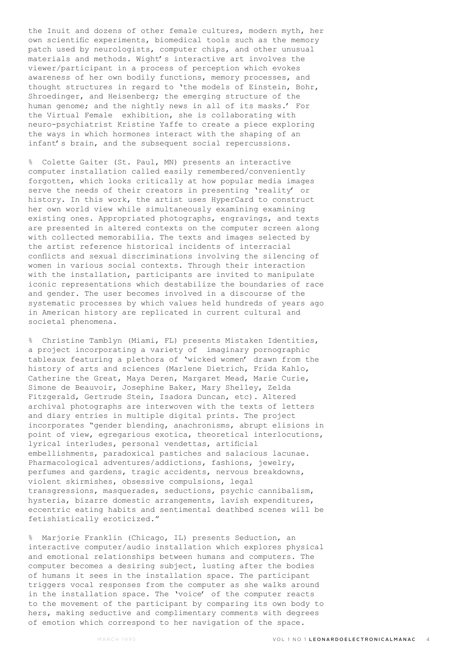the Inuit and dozens of other female cultures, modern myth, her own scientific experiments, biomedical tools such as the memory patch used by neurologists, computer chips, and other unusual materials and methods. Wight's interactive art involves the viewer/participant in a process of perception which evokes awareness of her own bodily functions, memory processes, and thought structures in regard to 'the models of Einstein, Bohr, Shroedinger, and Heisenberg; the emerging structure of the human genome; and the nightly news in all of its masks.' For the Virtual Female exhibition, she is collaborating with neuro-psychiatrist Kristine Yaffe to create a piece exploring the ways in which hormones interact with the shaping of an infant's brain, and the subsequent social repercussions.

% Colette Gaiter (St. Paul, MN) presents an interactive computer installation called easily remembered/conveniently forgotten, which looks critically at how popular media images serve the needs of their creators in presenting 'reality' or history. In this work, the artist uses HyperCard to construct her own world view while simultaneously examining examining existing ones. Appropriated photographs, engravings, and texts are presented in altered contexts on the computer screen along with collected memorabilia. The texts and images selected by the artist reference historical incidents of interracial conflicts and sexual discriminations involving the silencing of women in various social contexts. Through their interaction with the installation, participants are invited to manipulate iconic representations which destabilize the boundaries of race and gender. The user becomes involved in a discourse of the systematic processes by which values held hundreds of years ago in American history are replicated in current cultural and societal phenomena.

% Christine Tamblyn (Miami, FL) presents Mistaken Identities, a project incorporating a variety of imaginary pornographic tableaux featuring a plethora of 'wicked women' drawn from the history of arts and sciences (Marlene Dietrich, Frida Kahlo, Catherine the Great, Maya Deren, Margaret Mead, Marie Curie, Simone de Beauvoir, Josephine Baker, Mary Shelley, Zelda Fitzgerald, Gertrude Stein, Isadora Duncan, etc). Altered archival photographs are interwoven with the texts of letters and diary entries in multiple digital prints. The project incorporates "gender blending, anachronisms, abrupt elisions in point of view, egregarious exotica, theoretical interlocutions, lyrical interludes, personal vendettas, artificial embellishments, paradoxical pastiches and salacious lacunae. Pharmacological adventures/addictions, fashions, jewelry, perfumes and gardens, tragic accidents, nervous breakdowns, violent skirmishes, obsessive compulsions, legal transgressions, masquerades, seductions, psychic cannibalism, hysteria, bizarre domestic arrangements, lavish expenditures, eccentric eating habits and sentimental deathbed scenes will be fetishistically eroticized."

% Marjorie Franklin (Chicago, IL) presents Seduction, an interactive computer/audio installation which explores physical and emotional relationships between humans and computers. The computer becomes a desiring subject, lusting after the bodies of humans it sees in the installation space. The participant triggers vocal responses from the computer as she walks around in the installation space. The 'voice' of the computer reacts to the movement of the participant by comparing its own body to hers, making seductive and complimentary comments with degrees of emotion which correspond to her navigation of the space.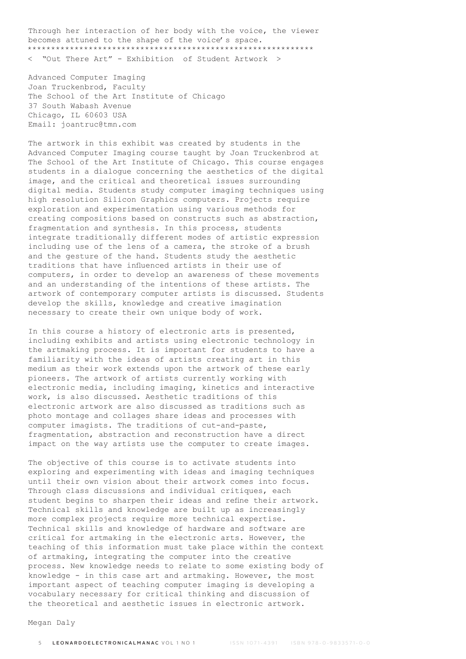Through her interaction of her body with the voice, the viewer becomes attuned to the shape of the voice's space. \*\*\*\*\*\*\*\*\*\*\*\*\*\*\*\*\*\*\*\*\*\*\*\*\*\*\*\*\*\*\*\*\*\*\*\*\*\*\*\*\*\*\*\*\*\*\*\*\*\*\*\*\*\*\*\*\*\*\*\*\* < "Out There Art" - Exhibition of Student Artwork >

Advanced Computer Imaging Joan Truckenbrod, Faculty The School of the Art Institute of Chicago 37 South Wabash Avenue Chicago, IL 60603 USA Email: joantruc@tmn.com

The artwork in this exhibit was created by students in the Advanced Computer Imaging course taught by Joan Truckenbrod at The School of the Art Institute of Chicago. This course engages students in a dialogue concerning the aesthetics of the digital image, and the critical and theoretical issues surrounding digital media. Students study computer imaging techniques using high resolution Silicon Graphics computers. Projects require exploration and experimentation using various methods for creating compositions based on constructs such as abstraction, fragmentation and synthesis. In this process, students integrate traditionally different modes of artistic expression including use of the lens of a camera, the stroke of a brush and the gesture of the hand. Students study the aesthetic traditions that have influenced artists in their use of computers, in order to develop an awareness of these movements and an understanding of the intentions of these artists. The artwork of contemporary computer artists is discussed. Students develop the skills, knowledge and creative imagination necessary to create their own unique body of work.

In this course a history of electronic arts is presented, including exhibits and artists using electronic technology in the artmaking process. It is important for students to have a familiarity with the ideas of artists creating art in this medium as their work extends upon the artwork of these early pioneers. The artwork of artists currently working with electronic media, including imaging, kinetics and interactive work, is also discussed. Aesthetic traditions of this electronic artwork are also discussed as traditions such as photo montage and collages share ideas and processes with computer imagists. The traditions of cut-and-paste, fragmentation, abstraction and reconstruction have a direct impact on the way artists use the computer to create images.

The objective of this course is to activate students into exploring and experimenting with ideas and imaging techniques until their own vision about their artwork comes into focus. Through class discussions and individual critiques, each student begins to sharpen their ideas and refine their artwork. Technical skills and knowledge are built up as increasingly more complex projects require more technical expertise. Technical skills and knowledge of hardware and software are critical for artmaking in the electronic arts. However, the teaching of this information must take place within the context of artmaking, integrating the computer into the creative process. New knowledge needs to relate to some existing body of knowledge - in this case art and artmaking. However, the most important aspect of teaching computer imaging is developing a vocabulary necessary for critical thinking and discussion of the theoretical and aesthetic issues in electronic artwork.

Megan Daly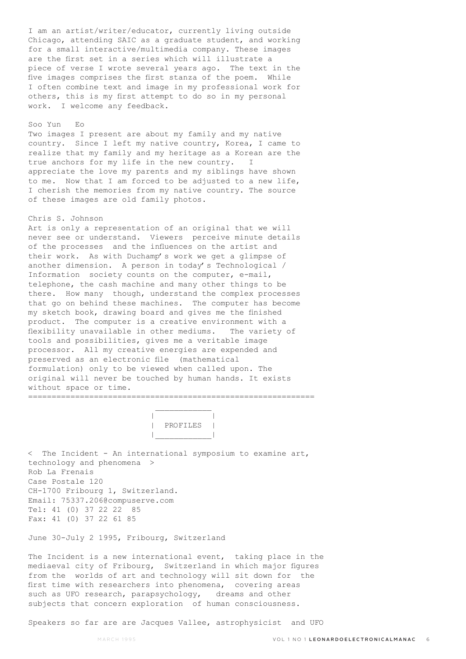I am an artist/writer/educator, currently living outside Chicago, attending SAIC as a graduate student, and working for a small interactive/multimedia company. These images are the first set in a series which will illustrate a piece of verse I wrote several years ago. The text in the five images comprises the first stanza of the poem. While I often combine text and image in my professional work for others, this is my first attempt to do so in my personal work. I welcome any feedback.

# Soo Yun Eo

Two images I present are about my family and my native country. Since I left my native country, Korea, I came to realize that my family and my heritage as a Korean are the true anchors for my life in the new country. I appreciate the love my parents and my siblings have shown to me. Now that I am forced to be adjusted to a new life, I cherish the memories from my native country. The source of these images are old family photos.

# Chris S. Johnson

Art is only a representation of an original that we will never see or understand. Viewers perceive minute details of the processes and the influences on the artist and their work. As with Duchamp's work we get a glimpse of another dimension. A person in today's Technological / Information society counts on the computer, e-mail, telephone, the cash machine and many other things to be there. How many though, understand the complex processes that go on behind these machines. The computer has become my sketch book, drawing board and gives me the finished product. The computer is a creative environment with a flexibility unavailable in other mediums. The variety of tools and possibilities, gives me a veritable image processor. All my creative energies are expended and preserved as an electronic file (mathematical formulation) only to be viewed when called upon. The original will never be touched by human hands. It exists without space or time. =============================================================

 $\mathcal{L}_\text{max}$  and  $\mathcal{L}_\text{max}$  and  $\mathcal{L}_\text{max}$  and  $\mathcal{L}_\text{max}$  | | | PROFILES | |\_\_\_\_\_\_\_\_\_\_\_\_|

< The Incident - An international symposium to examine art, technology and phenomena > Rob La Frenais Case Postale 120 CH-1700 Fribourg 1, Switzerland. Email: 75337.206@compuserve.com Tel: 41 (0) 37 22 22 85 Fax: 41 (0) 37 22 61 85

June 30-July 2 1995, Fribourg, Switzerland

The Incident is a new international event, taking place in the mediaeval city of Fribourg, Switzerland in which major figures from the worlds of art and technology will sit down for the first time with researchers into phenomena, covering areas such as UFO research, parapsychology, dreams and other subjects that concern exploration of human consciousness.

Speakers so far are are Jacques Vallee, astrophysicist and UFO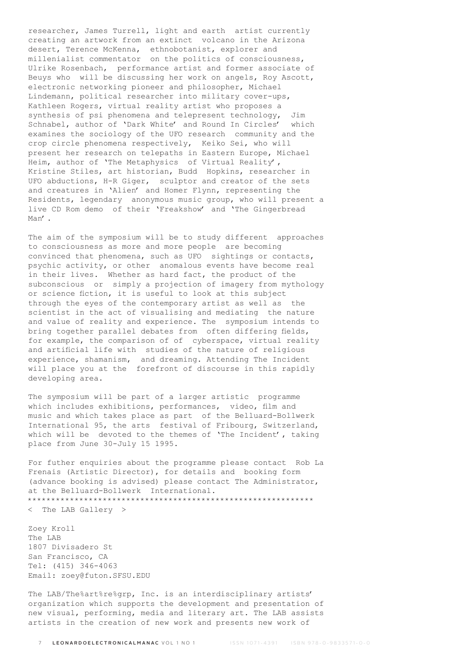researcher, James Turrell, light and earth artist currently creating an artwork from an extinct volcano in the Arizona desert, Terence McKenna, ethnobotanist, explorer and millenialist commentator on the politics of consciousness, Ulrike Rosenbach, performance artist and former associate of Beuys who will be discussing her work on angels, Roy Ascott, electronic networking pioneer and philosopher, Michael Lindemann, political researcher into military cover-ups, Kathleen Rogers, virtual reality artist who proposes a synthesis of psi phenomena and telepresent technology, Jim Schnabel, author of 'Dark White' and Round In Circles' which examines the sociology of the UFO research community and the crop circle phenomena respectively, Keiko Sei, who will present her research on telepaths in Eastern Europe, Michael Heim, author of 'The Metaphysics of Virtual Reality', Kristine Stiles, art historian, Budd Hopkins, researcher in UFO abductions, H-R Giger, sculptor and creator of the sets and creatures in 'Alien' and Homer Flynn, representing the Residents, legendary anonymous music group, who will present a live CD Rom demo of their 'Freakshow' and 'The Gingerbread Man'.

The aim of the symposium will be to study different approaches to consciousness as more and more people are becoming convinced that phenomena, such as UFO sightings or contacts, psychic activity, or other anomalous events have become real in their lives. Whether as hard fact, the product of the subconscious or simply a projection of imagery from mythology or science fiction, it is useful to look at this subject through the eyes of the contemporary artist as well as the scientist in the act of visualising and mediating the nature and value of reality and experience. The symposium intends to bring together parallel debates from often differing fields, for example, the comparison of of cyberspace, virtual reality and artificial life with studies of the nature of religious experience, shamanism, and dreaming. Attending The Incident will place you at the forefront of discourse in this rapidly developing area.

The symposium will be part of a larger artistic programme which includes exhibitions, performances, video, film and music and which takes place as part of the Belluard-Bollwerk International 95, the arts festival of Fribourg, Switzerland, which will be devoted to the themes of 'The Incident', taking place from June 30-July 15 1995.

For futher enquiries about the programme please contact Rob La Frenais (Artistic Director), for details and booking form (advance booking is advised) please contact The Administrator, at the Belluard-Bollwerk International. \*\*\*\*\*\*\*\*\*\*\*\*\*\*\*\*\*\*\*\*\*\*\*\*\*\*\*\*\*\*\*\*\*\*\*\*\*\*\*\*\*\*\*\*\*\*\*\*\*\*\*\*\*\*\*\*\*\*\*\*\*

< The LAB Gallery >

Zoey Kroll The LAB 1807 Divisadero St San Francisco, CA Tel: (415) 346-4063 Email: zoey@futon.SFSU.EDU

The LAB/The%art%re%grp, Inc. is an interdisciplinary artists' organization which supports the development and presentation of new visual, performing, media and literary art. The LAB assists artists in the creation of new work and presents new work of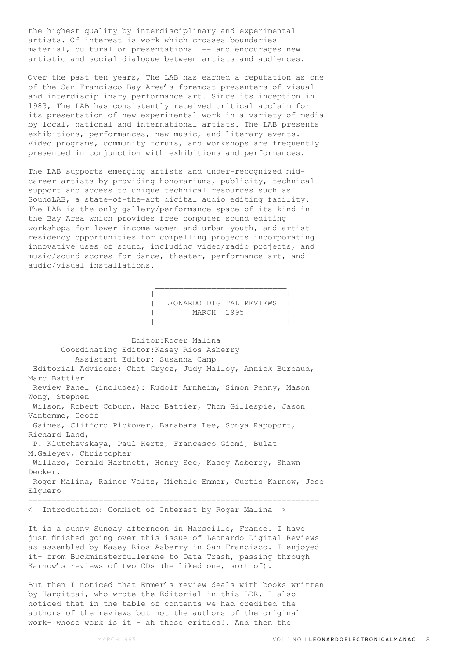the highest quality by interdisciplinary and experimental artists. Of interest is work which crosses boundaries - material, cultural or presentational -- and encourages new artistic and social dialogue between artists and audiences.

Over the past ten years, The LAB has earned a reputation as one of the San Francisco Bay Area's foremost presenters of visual and interdisciplinary performance art. Since its inception in 1983, The LAB has consistently received critical acclaim for its presentation of new experimental work in a variety of media by local, national and international artists. The LAB presents exhibitions, performances, new music, and literary events. Video programs, community forums, and workshops are frequently presented in conjunction with exhibitions and performances.

The LAB supports emerging artists and under-recognized midcareer artists by providing honorariums, publicity, technical support and access to unique technical resources such as SoundLAB, a state-of-the-art digital audio editing facility. The LAB is the only gallery/performance space of its kind in the Bay Area which provides free computer sound editing workshops for lower-income women and urban youth, and artist residency opportunities for compelling projects incorporating innovative uses of sound, including video/radio projects, and music/sound scores for dance, theater, performance art, and audio/visual installations. =============================================================

 $\mathcal{L}_\text{max}$  and the contract of the contract of the contract of the contract of the contract of the contract of the contract of the contract of the contract of the contract of the contract of the contract of the contrac

|\_\_\_\_\_\_\_\_\_\_\_\_\_\_\_\_\_\_\_\_\_\_\_\_\_\_\_\_|

 | | | LEONARDO DIGITAL REVIEWS | | MARCH 1995 |

 Editor:Roger Malina Coordinating Editor:Kasey Rios Asberry Assistant Editor: Susanna Camp Editorial Advisors: Chet Grycz, Judy Malloy, Annick Bureaud, Marc Battier Review Panel (includes): Rudolf Arnheim, Simon Penny, Mason Wong, Stephen Wilson, Robert Coburn, Marc Battier, Thom Gillespie, Jason Vantomme, Geoff Gaines, Clifford Pickover, Barabara Lee, Sonya Rapoport, Richard Land, P. Klutchevskaya, Paul Hertz, Francesco Giomi, Bulat M.Galeyev, Christopher Willard, Gerald Hartnett, Henry See, Kasey Asberry, Shawn Decker, Roger Malina, Rainer Voltz, Michele Emmer, Curtis Karnow, Jose Elguero ============================================================== < Introduction: Conflict of Interest by Roger Malina > It is a sunny Sunday afternoon in Marseille, France. I have

just finished going over this issue of Leonardo Digital Reviews as assembled by Kasey Rios Asberry in San Francisco. I enjoyed it- from Buckminsterfullerene to Data Trash, passing through Karnow's reviews of two CDs (he liked one, sort of).

But then I noticed that Emmer's review deals with books written by Hargittai, who wrote the Editorial in this LDR. I also noticed that in the table of contents we had credited the authors of the reviews but not the authors of the original work- whose work is it - ah those critics!. And then the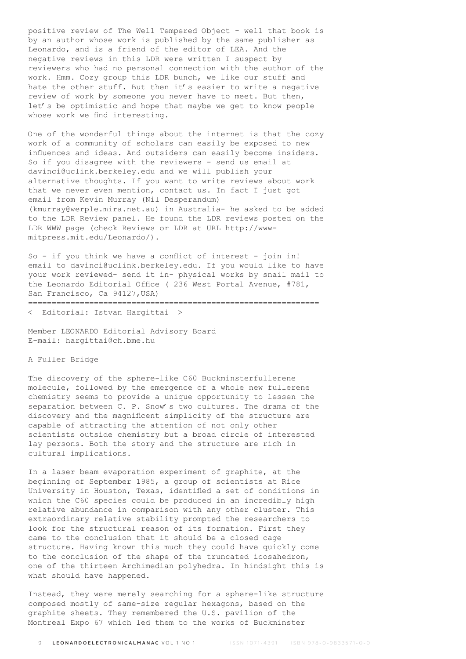positive review of The Well Tempered Object - well that book is by an author whose work is published by the same publisher as Leonardo, and is a friend of the editor of LEA. And the negative reviews in this LDR were written I suspect by reviewers who had no personal connection with the author of the work. Hmm. Cozy group this LDR bunch, we like our stuff and hate the other stuff. But then it's easier to write a negative review of work by someone you never have to meet. But then, let's be optimistic and hope that maybe we get to know people whose work we find interesting.

One of the wonderful things about the internet is that the cozy work of a community of scholars can easily be exposed to new influences and ideas. And outsiders can easily become insiders. So if you disagree with the reviewers - send us email at davinci@uclink.berkeley.edu and we will publish your alternative thoughts. If you want to write reviews about work that we never even mention, contact us. In fact I just got email from Kevin Murray (Nil Desperandum) (kmurray@werple.mira.net.au) in Australia- he asked to be added to the LDR Review panel. He found the LDR reviews posted on the LDR WWW page (check Reviews or LDR at URL http://wwwmitpress.mit.edu/Leonardo/).

So  $-$  if you think we have a conflict of interest  $-$  join in! email to davinci@uclink.berkeley.edu. If you would like to have your work reviewed- send it in- physical works by snail mail to the Leonardo Editorial Office ( 236 West Portal Avenue, #781, San Francisco, Ca 94127, USA)

==============================================================

< Editorial: Istvan Hargittai >

Member LEONARDO Editorial Advisory Board E-mail: hargittai@ch.bme.hu

A Fuller Bridge

The discovery of the sphere-like C60 Buckminsterfullerene molecule, followed by the emergence of a whole new fullerene chemistry seems to provide a unique opportunity to lessen the separation between C. P. Snow's two cultures. The drama of the discovery and the magnificent simplicity of the structure are capable of attracting the attention of not only other scientists outside chemistry but a broad circle of interested lay persons. Both the story and the structure are rich in cultural implications.

In a laser beam evaporation experiment of graphite, at the beginning of September 1985, a group of scientists at Rice University in Houston, Texas, identified a set of conditions in which the C60 species could be produced in an incredibly high relative abundance in comparison with any other cluster. This extraordinary relative stability prompted the researchers to look for the structural reason of its formation. First they came to the conclusion that it should be a closed cage structure. Having known this much they could have quickly come to the conclusion of the shape of the truncated icosahedron, one of the thirteen Archimedian polyhedra. In hindsight this is what should have happened.

Instead, they were merely searching for a sphere-like structure composed mostly of same-size regular hexagons, based on the graphite sheets. They remembered the U.S. pavilion of the Montreal Expo 67 which led them to the works of Buckminster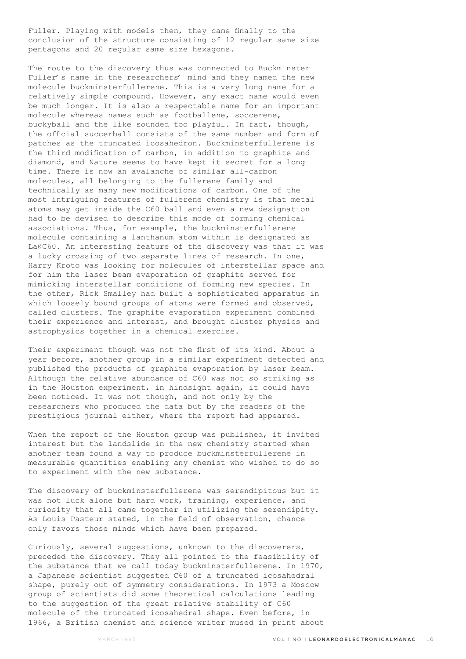Fuller. Playing with models then, they came finally to the conclusion of the structure consisting of 12 regular same size pentagons and 20 regular same size hexagons.

The route to the discovery thus was connected to Buckminster Fuller's name in the researchers' mind and they named the new molecule buckminsterfullerene. This is a very long name for a relatively simple compound. However, any exact name would even be much longer. It is also a respectable name for an important molecule whereas names such as footballene, soccerene, buckyball and the like sounded too playful. In fact, though, the official succerball consists of the same number and form of patches as the truncated icosahedron. Buckminsterfullerene is the third modification of carbon, in addition to graphite and diamond, and Nature seems to have kept it secret for a long time. There is now an avalanche of similar all-carbon molecules, all belonging to the fullerene family and technically as many new modifications of carbon. One of the most intriguing features of fullerene chemistry is that metal atoms may get inside the C60 ball and even a new designation had to be devised to describe this mode of forming chemical associations. Thus, for example, the buckminsterfullerene molecule containing a lanthanum atom within is designated as La@C60. An interesting feature of the discovery was that it was a lucky crossing of two separate lines of research. In one, Harry Kroto was looking for molecules of interstellar space and for him the laser beam evaporation of graphite served for mimicking interstellar conditions of forming new species. In the other, Rick Smalley had built a sophisticated apparatus in which loosely bound groups of atoms were formed and observed, called clusters. The graphite evaporation experiment combined their experience and interest, and brought cluster physics and astrophysics together in a chemical exercise.

Their experiment though was not the first of its kind. About a year before, another group in a similar experiment detected and published the products of graphite evaporation by laser beam. Although the relative abundance of C60 was not so striking as in the Houston experiment, in hindsight again, it could have been noticed. It was not though, and not only by the researchers who produced the data but by the readers of the prestigious journal either, where the report had appeared.

When the report of the Houston group was published, it invited interest but the landslide in the new chemistry started when another team found a way to produce buckminsterfullerene in measurable quantities enabling any chemist who wished to do so to experiment with the new substance.

The discovery of buckminsterfullerene was serendipitous but it was not luck alone but hard work, training, experience, and curiosity that all came together in utilizing the serendipity. As Louis Pasteur stated, in the field of observation, chance only favors those minds which have been prepared.

Curiously, several suggestions, unknown to the discoverers, preceded the discovery. They all pointed to the feasibility of the substance that we call today buckminsterfullerene. In 1970, a Japanese scientist suggested C60 of a truncated icosahedral shape, purely out of symmetry considerations. In 1973 a Moscow group of scientists did some theoretical calculations leading to the suggestion of the great relative stability of C60 molecule of the truncated icosahedral shape. Even before, in 1966, a British chemist and science writer mused in print about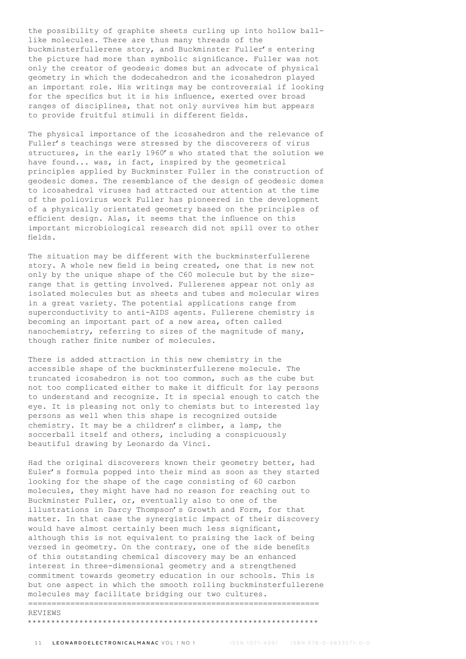the possibility of graphite sheets curling up into hollow balllike molecules. There are thus many threads of the buckminsterfullerene story, and Buckminster Fuller's entering the picture had more than symbolic significance. Fuller was not only the creator of geodesic domes but an advocate of physical geometry in which the dodecahedron and the icosahedron played an important role. His writings may be controversial if looking for the specifics but it is his influence, exerted over broad ranges of disciplines, that not only survives him but appears to provide fruitful stimuli in different fields.

The physical importance of the icosahedron and the relevance of Fuller's teachings were stressed by the discoverers of virus structures, in the early 1960's who stated that the solution we have found... was, in fact, inspired by the geometrical principles applied by Buckminster Fuller in the construction of geodesic domes. The resemblance of the design of geodesic domes to icosahedral viruses had attracted our attention at the time of the poliovirus work Fuller has pioneered in the development of a physically orientated geometry based on the principles of efficient design. Alas, it seems that the influence on this important microbiological research did not spill over to other fields.

The situation may be different with the buckminsterfullerene story. A whole new field is being created, one that is new not only by the unique shape of the C60 molecule but by the sizerange that is getting involved. Fullerenes appear not only as isolated molecules but as sheets and tubes and molecular wires in a great variety. The potential applications range from superconductivity to anti-AIDS agents. Fullerene chemistry is becoming an important part of a new area, often called nanochemistry, referring to sizes of the magnitude of many, though rather finite number of molecules.

There is added attraction in this new chemistry in the accessible shape of the buckminsterfullerene molecule. The truncated icosahedron is not too common, such as the cube but not too complicated either to make it difficult for lay persons to understand and recognize. It is special enough to catch the eye. It is pleasing not only to chemists but to interested lay persons as well when this shape is recognized outside chemistry. It may be a children's climber, a lamp, the soccerball itself and others, including a conspicuously beautiful drawing by Leonardo da Vinci.

Had the original discoverers known their geometry better, had Euler's formula popped into their mind as soon as they started looking for the shape of the cage consisting of 60 carbon molecules, they might have had no reason for reaching out to Buckminster Fuller, or, eventually also to one of the illustrations in Darcy Thompson's Growth and Form, for that matter. In that case the synergistic impact of their discovery would have almost certainly been much less significant, although this is not equivalent to praising the lack of being versed in geometry. On the contrary, one of the side benefits of this outstanding chemical discovery may be an enhanced interest in three-dimensional geometry and a strengthened commitment towards geometry education in our schools. This is but one aspect in which the smooth rolling buckminsterfullerene molecules may facilitate bridging our two cultures. ==============================================================

#### REVIEWS

## \*\*\*\*\*\*\*\*\*\*\*\*\*\*\*\*\*\*\*\*\*\*\*\*\*\*\*\*\*\*\*\*\*\*\*\*\*\*\*\*\*\*\*\*\*\*\*\*\*\*\*\*\*\*\*\*\*\*\*\*\*\*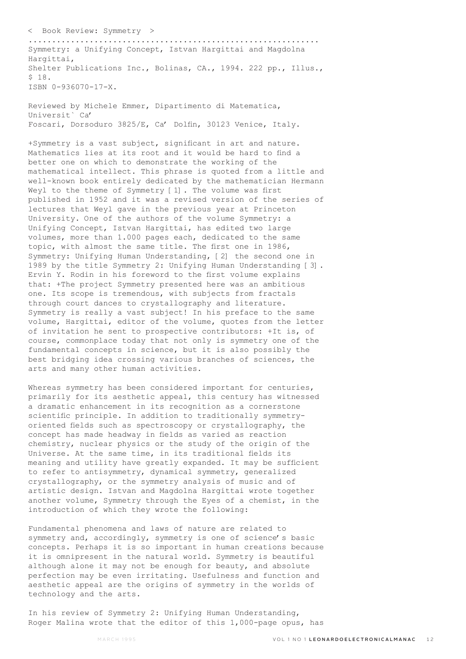< Book Review: Symmetry >

.............................................................. Symmetry: a Unifying Concept, Istvan Hargittai and Magdolna Hargittai, Shelter Publications Inc., Bolinas, CA., 1994. 222 pp., Illus., \$ 18. ISBN 0-936070-17-X.

Reviewed by Michele Emmer, Dipartimento di Matematica, Universit` Ca' Foscari, Dorsoduro 3825/E, Ca' Dolfin, 30123 Venice, Italy.

+Symmetry is a vast subject, significant in art and nature. Mathematics lies at its root and it would be hard to find a better one on which to demonstrate the working of the mathematical intellect. This phrase is quoted from a little and well-known book entirely dedicated by the mathematician Hermann Weyl to the theme of Symmetry [1]. The volume was first published in 1952 and it was a revised version of the series of lectures that Weyl gave in the previous year at Princeton University. One of the authors of the volume Symmetry: a Unifying Concept, Istvan Hargittai, has edited two large volumes, more than 1.000 pages each, dedicated to the same topic, with almost the same title. The first one in 1986, Symmetry: Unifying Human Understanding, [2] the second one in 1989 by the title Symmetry 2: Unifying Human Understanding [3]. Ervin Y. Rodin in his foreword to the first volume explains that: +The project Symmetry presented here was an ambitious one. Its scope is tremendous, with subjects from fractals through court dances to crystallography and literature. Symmetry is really a vast subject! In his preface to the same volume, Hargittai, editor of the volume, quotes from the letter of invitation he sent to prospective contributors: +It is, of course, commonplace today that not only is symmetry one of the fundamental concepts in science, but it is also possibly the best bridging idea crossing various branches of sciences, the arts and many other human activities.

Whereas symmetry has been considered important for centuries, primarily for its aesthetic appeal, this century has witnessed a dramatic enhancement in its recognition as a cornerstone scientific principle. In addition to traditionally symmetryoriented fields such as spectroscopy or crystallography, the concept has made headway in fields as varied as reaction chemistry, nuclear physics or the study of the origin of the Universe. At the same time, in its traditional fields its meaning and utility have greatly expanded. It may be sufficient to refer to antisymmetry, dynamical symmetry, generalized crystallography, or the symmetry analysis of music and of artistic design. Istvan and Magdolna Hargittai wrote together another volume, Symmetry through the Eyes of a chemist, in the introduction of which they wrote the following:

Fundamental phenomena and laws of nature are related to symmetry and, accordingly, symmetry is one of science's basic concepts. Perhaps it is so important in human creations because it is omnipresent in the natural world. Symmetry is beautiful although alone it may not be enough for beauty, and absolute perfection may be even irritating. Usefulness and function and aesthetic appeal are the origins of symmetry in the worlds of technology and the arts.

In his review of Symmetry 2: Unifying Human Understanding, Roger Malina wrote that the editor of this 1,000-page opus, has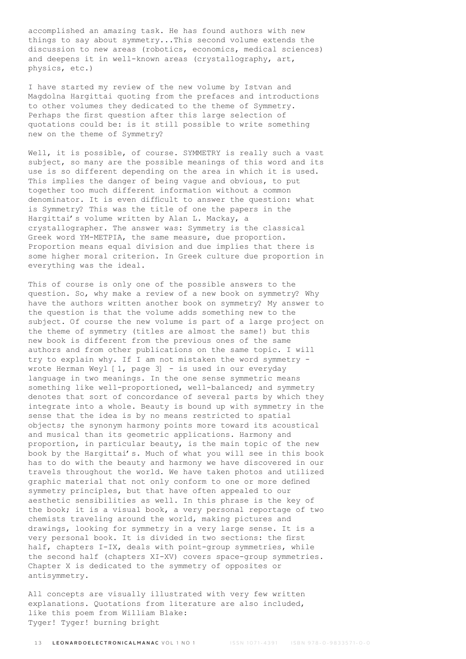accomplished an amazing task. He has found authors with new things to say about symmetry...This second volume extends the discussion to new areas (robotics, economics, medical sciences) and deepens it in well-known areas (crystallography, art, physics, etc.)

I have started my review of the new volume by Istvan and Magdolna Hargittai quoting from the prefaces and introductions to other volumes they dedicated to the theme of Symmetry. Perhaps the first question after this large selection of quotations could be: is it still possible to write something new on the theme of Symmetry?

Well, it is possible, of course. SYMMETRY is really such a vast subject, so many are the possible meanings of this word and its use is so different depending on the area in which it is used. This implies the danger of being vague and obvious, to put together too much different information without a common denominator. It is even difficult to answer the question: what is Symmetry? This was the title of one the papers in the Hargittai's volume written by Alan L. Mackay, a crystallographer. The answer was: Symmetry is the classical Greek word YM-METPIA, the same measure, due proportion. Proportion means equal division and due implies that there is some higher moral criterion. In Greek culture due proportion in everything was the ideal.

This of course is only one of the possible answers to the question. So, why make a review of a new book on symmetry? Why have the authors written another book on symmetry? My answer to the question is that the volume adds something new to the subject. Of course the new volume is part of a large project on the theme of symmetry (titles are almost the same!) but this new book is different from the previous ones of the same authors and from other publications on the same topic. I will try to explain why. If I am not mistaken the word symmetry wrote Herman Weyl [1, page 3] - is used in our everyday language in two meanings. In the one sense symmetric means something like well-proportioned, well-balanced; and symmetry denotes that sort of concordance of several parts by which they integrate into a whole. Beauty is bound up with symmetry in the sense that the idea is by no means restricted to spatial objects; the synonym harmony points more toward its acoustical and musical than its geometric applications. Harmony and proportion, in particular beauty, is the main topic of the new book by the Hargittai's. Much of what you will see in this book has to do with the beauty and harmony we have discovered in our travels throughout the world. We have taken photos and utilized graphic material that not only conform to one or more defined symmetry principles, but that have often appealed to our aesthetic sensibilities as well. In this phrase is the key of the book; it is a visual book, a very personal reportage of two chemists traveling around the world, making pictures and drawings, looking for symmetry in a very large sense. It is a very personal book. It is divided in two sections: the first half, chapters I-IX, deals with point-group symmetries, while the second half (chapters XI-XV) covers space-group symmetries. Chapter X is dedicated to the symmetry of opposites or antisymmetry.

All concepts are visually illustrated with very few written explanations. Quotations from literature are also included, like this poem from William Blake: Tyger! Tyger! burning bright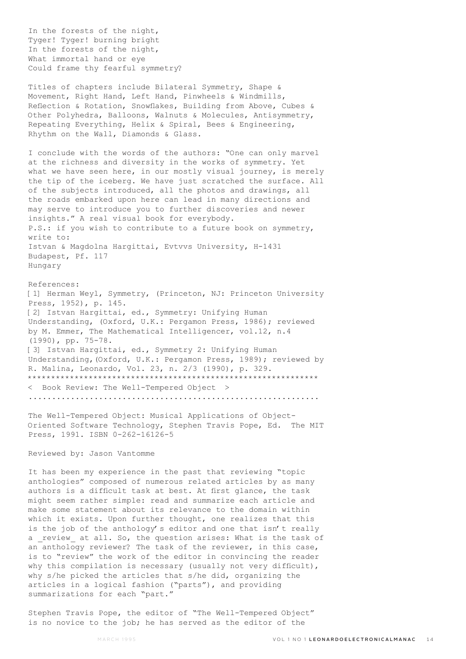In the forests of the night, Tyger! Tyger! burning bright In the forests of the night, What immortal hand or eye Could frame thy fearful symmetry?

Titles of chapters include Bilateral Symmetry, Shape & Movement, Right Hand, Left Hand, Pinwheels & Windmills, Reflection & Rotation, Snowflakes, Building from Above, Cubes & Other Polyhedra, Balloons, Walnuts & Molecules, Antisymmetry, Repeating Everything, Helix & Spiral, Bees & Engineering, Rhythm on the Wall, Diamonds & Glass.

I conclude with the words of the authors: "One can only marvel at the richness and diversity in the works of symmetry. Yet what we have seen here, in our mostly visual journey, is merely the tip of the iceberg. We have just scratched the surface. All of the subjects introduced, all the photos and drawings, all the roads embarked upon here can lead in many directions and may serve to introduce you to further discoveries and newer insights." A real visual book for everybody. P.S.: if you wish to contribute to a future book on symmetry, write to: Istvan & Magdolna Hargittai, Evtvvs University, H-1431 Budapest, Pf. 117 Hungary

References: [1] Herman Weyl, Symmetry, (Princeton, NJ: Princeton University Press, 1952), p. 145. [2] Istvan Hargittai, ed., Symmetry: Unifying Human Understanding, (Oxford, U.K.: Pergamon Press, 1986); reviewed by M. Emmer, The Mathematical Intelligencer, vol.12, n.4 (1990), pp. 75-78. [3] Istvan Hargittai, ed., Symmetry 2: Unifying Human Understanding,(Oxford, U.K.: Pergamon Press, 1989); reviewed by R. Malina, Leonardo, Vol. 23, n. 2/3 (1990), p. 329. \*\*\*\*\*\*\*\*\*\*\*\*\*\*\*\*\*\*\*\*\*\*\*\*\*\*\*\*\*\*\*\*\*\*\*\*\*\*\*\*\*\*\*\*\*\*\*\*\*\*\*\*\*\*\*\*\*\*\*\*\*\* < Book Review: The Well-Tempered Object > ..............................................................

The Well-Tempered Object: Musical Applications of Object-Oriented Software Technology, Stephen Travis Pope, Ed. The MIT Press, 1991. ISBN 0-262-16126-5

# Reviewed by: Jason Vantomme

It has been my experience in the past that reviewing "topic anthologies" composed of numerous related articles by as many authors is a difficult task at best. At first glance, the task might seem rather simple: read and summarize each article and make some statement about its relevance to the domain within which it exists. Upon further thought, one realizes that this is the job of the anthology's editor and one that isn't really a review at all. So, the question arises: What is the task of an anthology reviewer? The task of the reviewer, in this case, is to "review" the work of the editor in convincing the reader why this compilation is necessary (usually not very difficult), why s/he picked the articles that s/he did, organizing the articles in a logical fashion ("parts"), and providing summarizations for each "part."

Stephen Travis Pope, the editor of "The Well-Tempered Object" is no novice to the job; he has served as the editor of the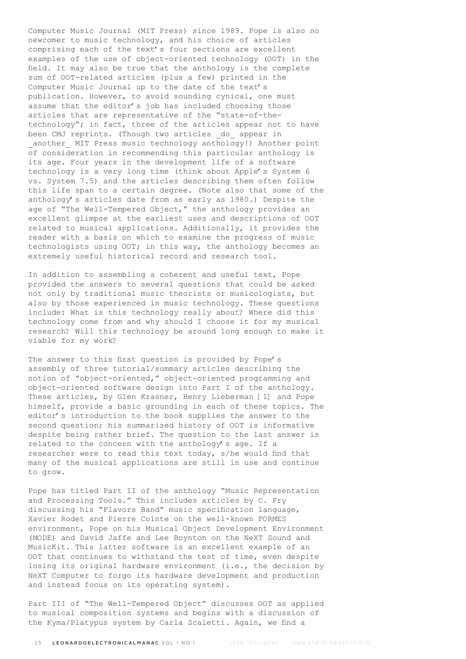Computer Music Journal (MIT Press) since 1989. Pope is also no newcomer to music technology, and his choice of articles comprising each of the text's four sections are excellent examples of the use of object-oriented technology (OOT) in the field. It may also be true that the anthology is the complete sum of OOT-related articles (plus a few) printed in the Computer Music Journal up to the date of the text's publication. However, to avoid sounding cynical, one must assume that the editor's job has included choosing those articles that are representative of the "state-of-thetechnology"; in fact, three of the articles appear not to have been CMJ reprints. (Though two articles \_do\_ appear in another MIT Press music technology anthology!) Another point of consideration in recommending this particular anthology is its age. Four years in the development life of a software technology is a very long time (think about Apple's System 6 vs. System 7.5) and the articles describing them often follow this life span to a certain degree. (Note also that some of the anthology's articles date from as early as 1980.) Despite the age of "The Well-Tempered Object," the anthology provides an excellent glimpse at the earliest uses and descriptions of OOT related to musical applications. Additionally, it provides the reader with a basis on which to examine the progress of music technologists using OOT; in this way, the anthology becomes an extremely useful historical record and research tool.

In addition to assembling a coherent and useful text, Pope provided the answers to several questions that could be asked not only by traditional music theorists or musicologists, but also by those experienced in music technology. These questions include: What is this technology really about? Where did this technology come from and why should I choose it for my musical research? Will this technology be around long enough to make it viable for my work?

The answer to this first question is provided by Pope's assembly of three tutorial/summary articles describing the notion of "object-oriented," object-oriented programming and object-oriented software design into Part I of the anthology. These articles, by Glen Krasner, Henry Lieberman [1] and Pope himself, provide a basic grounding in each of these topics. The editor's introduction to the book supplies the answer to the second question; his summarized history of OOT is informative despite being rather brief. The question to the last answer is related to the concern with the anthology's age. If a researcher were to read this text today, s/he would find that many of the musical applications are still in use and continue to grow.

Pope has titled Part II of the anthology "Music Representation and Processing Tools." This includes articles by C. Fry discussing his "Flavors Band" music specification language, Xavier Rodet and Pierre Cointe on the well-known FORMES environment, Pope on his Musical Object Development Environment (MODE) and David Jaffe and Lee Boynton on the NeXT Sound and MusicKit. This latter software is an excellent example of an OOT that continues to withstand the test of time, even despite losing its original hardware environment (i.e., the decision by NeXT Computer to forgo its hardware development and production and instead focus on its operating system).

Part III of "The Well-Tempered Object" discusses OOT as applied to musical composition systems and begins with a discussion of the Kyma/Platypus system by Carla Scaletti. Again, we find a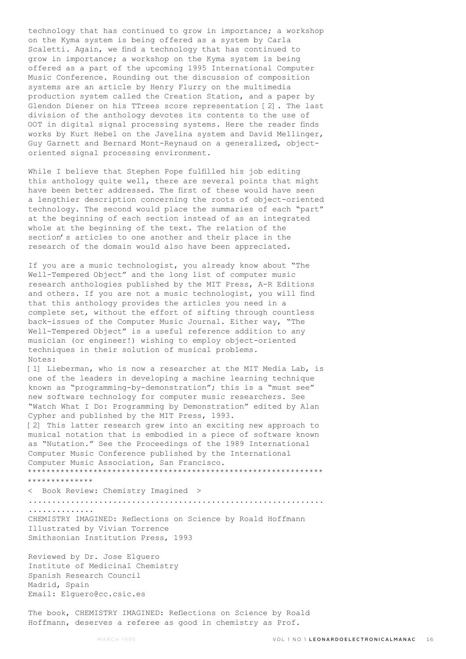technology that has continued to grow in importance; a workshop on the Kyma system is being offered as a system by Carla Scaletti. Again, we find a technology that has continued to grow in importance; a workshop on the Kyma system is being offered as a part of the upcoming 1995 International Computer Music Conference. Rounding out the discussion of composition systems are an article by Henry Flurry on the multimedia production system called the Creation Station, and a paper by Glendon Diener on his TTrees score representation [2]. The last division of the anthology devotes its contents to the use of OOT in digital signal processing systems. Here the reader finds works by Kurt Hebel on the Javelina system and David Mellinger, Guy Garnett and Bernard Mont-Reynaud on a generalized, objectoriented signal processing environment.

While I believe that Stephen Pope fulfilled his job editing this anthology quite well, there are several points that might have been better addressed. The first of these would have seen a lengthier description concerning the roots of object-oriented technology. The second would place the summaries of each "part" at the beginning of each section instead of as an integrated whole at the beginning of the text. The relation of the section's articles to one another and their place in the research of the domain would also have been appreciated.

If you are a music technologist, you already know about "The Well-Tempered Object" and the long list of computer music research anthologies published by the MIT Press, A-R Editions and others. If you are not a music technologist, you will find that this anthology provides the articles you need in a complete set, without the effort of sifting through countless back-issues of the Computer Music Journal. Either way, "The Well-Tempered Object" is a useful reference addition to any musician (or engineer!) wishing to employ object-oriented techniques in their solution of musical problems. Notes:

[1] Lieberman, who is now a researcher at the MIT Media Lab, is one of the leaders in developing a machine learning technique known as "programming-by-demonstration"; this is a "must see" new software technology for computer music researchers. See "Watch What I Do: Programming by Demonstration" edited by Alan Cypher and published by the MIT Press, 1993. [2] This latter research grew into an exciting new approach to musical notation that is embodied in a piece of software known as "Nutation." See the Proceedings of the 1989 International Computer Music Conference published by the International Computer Music Association, San Francisco. \*\*\*\*\*\*\*\*\*\*\*\*\*\*\*\*\*\*\*\*\*\*\*\*\*\*\*\*\*\*\*\*\*\*\*\*\*\*\*\*\*\*\*\*\*\*\*\*\*\*\*\*\*\*\*\*\*\*\*\*\*\*\* \*\*\*\*\*\*\*\*\*\*\*\*\*\*

< Book Review: Chemistry Imagined > ............................................................... .............. CHEMISTRY IMAGINED: Reflections on Science by Roald Hoffmann Illustrated by Vivian Torrence Smithsonian Institution Press, 1993

Reviewed by Dr. Jose Elguero Institute of Medicinal Chemistry Spanish Research Council Madrid, Spain Email: Elguero@cc.csic.es

The book, CHEMISTRY IMAGINED: Reflections on Science by Roald Hoffmann, deserves a referee as good in chemistry as Prof.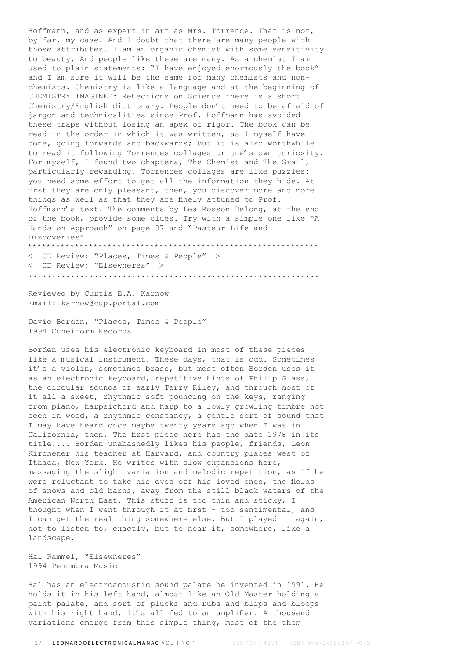Hoffmann, and as expert in art as Mrs. Torrence. That is not, by far, my case. And I doubt that there are many people with those attributes. I am an organic chemist with some sensitivity to beauty. And people like these are many. As a chemist I am used to plain statements: "I have enjoyed enormously the book" and I am sure it will be the same for many chemists and nonchemists. Chemistry is like a language and at the beginning of CHEMISTRY IMAGINED: Reflections on Science there is a short Chemistry/English dictionary. People don't need to be afraid of jargon and technicalities since Prof. Hoffmann has avoided these traps without losing an apex of rigor. The book can be read in the order in which it was written, as I myself have done, going forwards and backwards; but it is also worthwhile to read it following Torrences collages or one's own curiosity. For myself, I found two chapters, The Chemist and The Grail, particularly rewarding. Torrences collages are like puzzles: you need some effort to get all the information they hide. At first they are only pleasant, then, you discover more and more things as well as that they are finely attuned to Prof. Hoffmann's text. The comments by Lea Rosson Delong, at the end of the book, provide some clues. Try with a simple one like "A Hands-on Approach" on page 97 and "Pasteur Life and Discoveries". \*\*\*\*\*\*\*\*\*\*\*\*\*\*\*\*\*\*\*\*\*\*\*\*\*\*\*\*\*\*\*\*\*\*\*\*\*\*\*\*\*\*\*\*\*\*\*\*\*\*\*\*\*\*\*\*\*\*\*\*\*\*

< CD Review: "Places, Times & People" > < CD Review: "Elsewheres" > ..............................................................

Reviewed by Curtis E.A. Karnow Email: karnow@cup.portal.com

David Borden, "Places, Times & People" 1994 Cuneiform Records

Borden uses his electronic keyboard in most of these pieces like a musical instrument. These days, that is odd. Sometimes it's a violin, sometimes brass, but most often Borden uses it as an electronic keyboard, repetitive hints of Philip Glass, the circular sounds of early Terry Riley, and through most of it all a sweet, rhythmic soft pouncing on the keys, ranging from piano, harpsichord and harp to a lowly growling timbre not seen in wood, a rhythmic constancy, a gentle sort of sound that I may have heard once maybe twenty years ago when I was in California, then. The first piece here has the date 1978 in its title.... Borden unabashedly likes his people, friends, Leon Kirchener his teacher at Harvard, and country places west of Ithaca, New York. He writes with slow expansions here, massaging the slight variation and melodic repetition, as if he were reluctant to take his eyes off his loved ones, the fields of snows and old barns, away from the still black waters of the American North East. This stuff is too thin and sticky, I thought when I went through it at first - too sentimental, and I can get the real thing somewhere else. But I played it again, not to listen to, exactly, but to hear it, somewhere, like a landscape.

Hal Rammel, "Elsewheres" 1994 Penumbra Music

Hal has an electroacoustic sound palate he invented in 1991. He holds it in his left hand, almost like an Old Master holding a paint palate, and sort of plucks and rubs and blips and bloops with his right hand. It's all fed to an amplifier. A thousand variations emerge from this simple thing, most of the them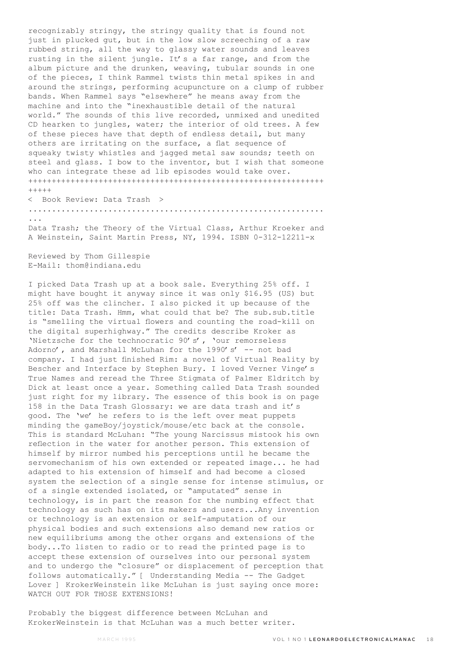recognizably stringy, the stringy quality that is found not just in plucked gut, but in the low slow screeching of a raw rubbed string, all the way to glassy water sounds and leaves rusting in the silent jungle. It's a far range, and from the album picture and the drunken, weaving, tubular sounds in one of the pieces, I think Rammel twists thin metal spikes in and around the strings, performing acupuncture on a clump of rubber bands. When Rammel says "elsewhere" he means away from the machine and into the "inexhaustible detail of the natural world." The sounds of this live recorded, unmixed and unedited CD hearken to jungles, water; the interior of old trees. A few of these pieces have that depth of endless detail, but many others are irritating on the surface, a flat sequence of squeaky twisty whistles and jagged metal saw sounds; teeth on steel and glass. I bow to the inventor, but I wish that someone who can integrate these ad lib episodes would take over. +++++++++++++++++++++++++++++++++++++++++++++++++++++++++++++++  $+++++$ 

< Book Review: Data Trash > ............................................................... ... Data Trash; the Theory of the Virtual Class, Arthur Kroeker and A Weinstein, Saint Martin Press, NY, 1994. ISBN 0-312-12211-x

Reviewed by Thom Gillespie E-Mail: thom@indiana.edu

I picked Data Trash up at a book sale. Everything 25% off. I might have bought it anyway since it was only \$16.95 (US) but 25% off was the clincher. I also picked it up because of the title: Data Trash. Hmm, what could that be? The sub.sub.title is "smelling the virtual flowers and counting the road-kill on the digital superhighway." The credits describe Kroker as 'Nietzsche for the technocratic 90's', 'our remorseless Adorno', and Marshall McLuhan for the 1990's' -- not bad company. I had just finished Rim: a novel of Virtual Reality by Bescher and Interface by Stephen Bury. I loved Verner Vinge's True Names and reread the Three Stigmata of Palmer Eldritch by Dick at least once a year. Something called Data Trash sounded just right for my library. The essence of this book is on page 158 in the Data Trash Glossary: we are data trash and it's good. The 'we' he refers to is the left over meat puppets minding the gameBoy/joystick/mouse/etc back at the console. This is standard McLuhan: "The young Narcissus mistook his own reflection in the water for another person. This extension of himself by mirror numbed his perceptions until he became the servomechanism of his own extended or repeated image... he had adapted to his extension of himself and had become a closed system the selection of a single sense for intense stimulus, or of a single extended isolated, or "amputated" sense in technology, is in part the reason for the numbing effect that technology as such has on its makers and users...Any invention or technology is an extension or self-amputation of our physical bodies and such extensions also demand new ratios or new equilibriums among the other organs and extensions of the body...To listen to radio or to read the printed page is to accept these extension of ourselves into our personal system and to undergo the "closure" or displacement of perception that follows automatically." [ Understanding Media -- The Gadget Lover ] KrokerWeinstein like McLuhan is just saying once more: WATCH OUT FOR THOSE EXTENSIONS!

Probably the biggest difference between McLuhan and KrokerWeinstein is that McLuhan was a much better writer.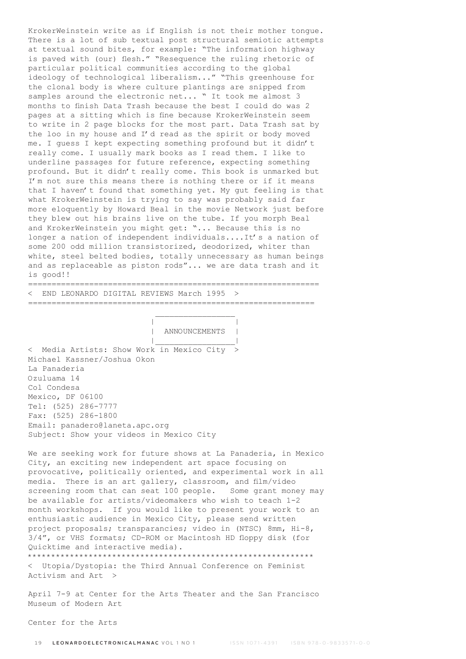KrokerWeinstein write as if English is not their mother tongue. There is a lot of sub textual post structural semiotic attempts at textual sound bites, for example: "The information highway is paved with (our) flesh." "Resequence the ruling rhetoric of particular political communities according to the global ideology of technological liberalism..." "This greenhouse for the clonal body is where culture plantings are snipped from samples around the electronic net... " It took me almost 3 months to finish Data Trash because the best I could do was 2 pages at a sitting which is fine because KrokerWeinstein seem to write in 2 page blocks for the most part. Data Trash sat by the loo in my house and I'd read as the spirit or body moved me. I guess I kept expecting something profound but it didn't really come. I usually mark books as I read them. I like to underline passages for future reference, expecting something profound. But it didn't really come. This book is unmarked but I'm not sure this means there is nothing there or if it means that I haven't found that something yet. My gut feeling is that what KrokerWeinstein is trying to say was probably said far more eloquently by Howard Beal in the movie Network just before they blew out his brains live on the tube. If you morph Beal and KrokerWeinstein you might get: "... Because this is no longer a nation of independent individuals....It's a nation of some 200 odd million transistorized, deodorized, whiter than white, steel belted bodies, totally unnecessary as human beings and as replaceable as piston rods"... we are data trash and it is good!! ==============================================================

< END LEONARDO DIGITAL REVIEWS March 1995 >

 $\mathcal{L}_\text{max}$  and  $\mathcal{L}_\text{max}$  and  $\mathcal{L}_\text{max}$  and  $\mathcal{L}_\text{max}$ | |

=============================================================

| ANNOUNCEMENTS |

 |\_\_\_\_\_\_\_\_\_\_\_\_\_\_\_\_\_| < Media Artists: Show Work in Mexico City > Michael Kassner/Joshua Okon La Panaderia Ozuluama 14 Col Condesa Mexico, DF 06100 Tel: (525) 286-7777 Fax: (525) 286-1800 Email: panadero@laneta.apc.org Subject: Show your videos in Mexico City

We are seeking work for future shows at La Panaderia, in Mexico City, an exciting new independent art space focusing on provocative, politically oriented, and experimental work in all media. There is an art gallery, classroom, and film/video screening room that can seat 100 people. Some grant money may be available for artists/videomakers who wish to teach 1-2 month workshops. If you would like to present your work to an enthusiastic audience in Mexico City, please send written project proposals; transparancies; video in (NTSC) 8mm, Hi-8, 3/4", or VHS formats; CD-ROM or Macintosh HD floppy disk (for Quicktime and interactive media). \*\*\*\*\*\*\*\*\*\*\*\*\*\*\*\*\*\*\*\*\*\*\*\*\*\*\*\*\*\*\*\*\*\*\*\*\*\*\*\*\*\*\*\*\*\*\*\*\*\*\*\*\*\*\*\*\*\*\*\*\*

< Utopia/Dystopia: the Third Annual Conference on Feminist Activism and Art >

April 7-9 at Center for the Arts Theater and the San Francisco Museum of Modern Art

Center for the Arts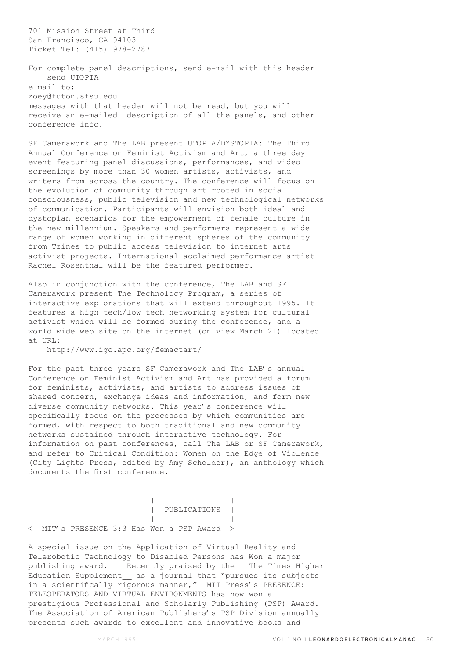701 Mission Street at Third San Francisco, CA 94103 Ticket Tel: (415) 978-2787

For complete panel descriptions, send e-mail with this header send UTOPIA e-mail to: zoey@futon.sfsu.edu messages with that header will not be read, but you will receive an e-mailed description of all the panels, and other conference info.

SF Camerawork and The LAB present UTOPIA/DYSTOPIA: The Third Annual Conference on Feminist Activism and Art, a three day event featuring panel discussions, performances, and video screenings by more than 30 women artists, activists, and writers from across the country. The conference will focus on the evolution of community through art rooted in social consciousness, public television and new technological networks of communication. Participants will envision both ideal and dystopian scenarios for the empowerment of female culture in the new millennium. Speakers and performers represent a wide range of women working in different spheres of the community from Tzines to public access television to internet arts activist projects. International acclaimed performance artist Rachel Rosenthal will be the featured performer.

Also in conjunction with the conference, The LAB and SF Camerawork present The Technology Program, a series of interactive explorations that will extend throughout 1995. It features a high tech/low tech networking system for cultural activist which will be formed during the conference, and a world wide web site on the internet (on view March 21) located at URL:

http://www.igc.apc.org/femactart/

For the past three years SF Camerawork and The LAB's annual Conference on Feminist Activism and Art has provided a forum for feminists, activists, and artists to address issues of shared concern, exchange ideas and information, and form new diverse community networks. This year's conference will specifically focus on the processes by which communities are formed, with respect to both traditional and new community networks sustained through interactive technology. For information on past conferences, call The LAB or SF Camerawork, and refer to Critical Condition: Women on the Edge of Violence (City Lights Press, edited by Amy Scholder), an anthology which documents the first conference. =============================================================

 | | | PUBLICATIONS | |\_\_\_\_\_\_\_\_\_\_\_\_\_\_\_\_|

< MIT's PRESENCE 3:3 Has Won a PSP Award >

A special issue on the Application of Virtual Reality and Telerobotic Technology to Disabled Persons has Won a major publishing award. Recently praised by the \_\_The Times Higher Education Supplement\_\_ as a journal that "pursues its subjects in a scientifically rigorous manner," MIT Press's PRESENCE: TELEOPERATORS AND VIRTUAL ENVIRONMENTS has now won a prestigious Professional and Scholarly Publishing (PSP) Award. The Association of American Publishers's PSP Division annually presents such awards to excellent and innovative books and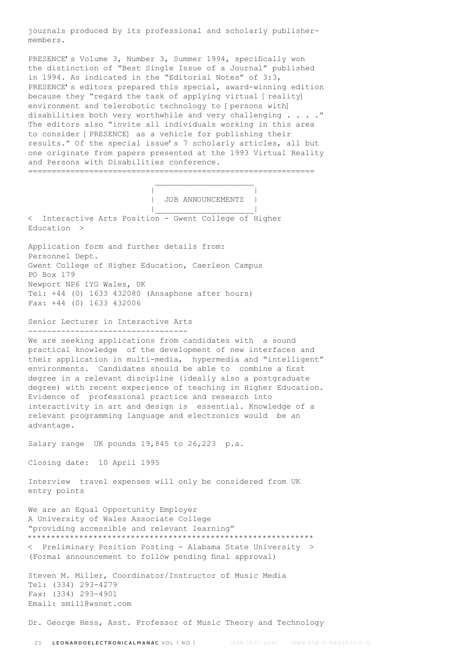journals produced by its professional and scholarly publishermembers.

PRESENCE's Volume 3, Number 3, Summer 1994, specifically won the distinction of "Best Single Issue of a Journal" published in 1994. As indicated in the "Editorial Notes" of 3:3, PRESENCE's editors prepared this special, award-winning edition because they "regard the task of applying virtual [reality] environment and telerobotic technology to [persons with] disabilities both very worthwhile and very challenging . . . ." The editors also "invite all individuals working in this area to consider [PRESENCE] as a vehicle for publishing their results." Of the special issue's 7 scholarly articles, all but one originate from papers presented at the 1993 Virtual Reality and Persons with Disabilities conference. =============================================================

| JOB ANNOUNCEMENTS |

 |\_\_\_\_\_\_\_\_\_\_\_\_\_\_\_\_\_\_\_\_\_| < Interactive Arts Position - Gwent College of Higher Education >

 $\mathcal{L}_\text{max}$  and  $\mathcal{L}_\text{max}$  and  $\mathcal{L}_\text{max}$  and  $\mathcal{L}_\text{max}$ | |

Application form and further details from: Personnel Dept. Gwent College of Higher Education, Caerleon Campus PO Box 179 Newport NP6 1YG Wales, UK Tel: +44 (0) 1633 432080 (Ansaphone after hours) Fax: +44 (0) 1633 432006

Senior Lecturer in Interactive Arts ----------------------------------

We are seeking applications from candidates with a sound practical knowledge of the development of new interfaces and their application in multi-media, hypermedia and "intelligent" environments. Candidates should be able to combine a first degree in a relevant discipline (ideally also a postgraduate degree) with recent experience of teaching in Higher Education. Evidence of professional practice and research into interactivity in art and design is essential. Knowledge of a relevant programming language and electronics would be an advantage.

Salary range UK pounds 19,845 to 26,223 p.a.

Closing date: 10 April 1995

Interview travel expenses will only be considered from UK entry points

We are an Equal Opportunity Employer A University of Wales Associate College "providing accessible and relevant learning" \*\*\*\*\*\*\*\*\*\*\*\*\*\*\*\*\*\*\*\*\*\*\*\*\*\*\*\*\*\*\*\*\*\*\*\*\*\*\*\*\*\*\*\*\*\*\*\*\*\*\*\*\*\*\*\*\*\*\*\*\* < Preliminary Position Posting - Alabama State University > (Formal announcement to follow pending final approval)

Steven M. Miller, Coordinator/Instructor of Music Media Tel: (334) 293-4279 Fax: (334) 293-4901 Email: smill@wsnet.com

Dr. George Hess, Asst. Professor of Music Theory and Technology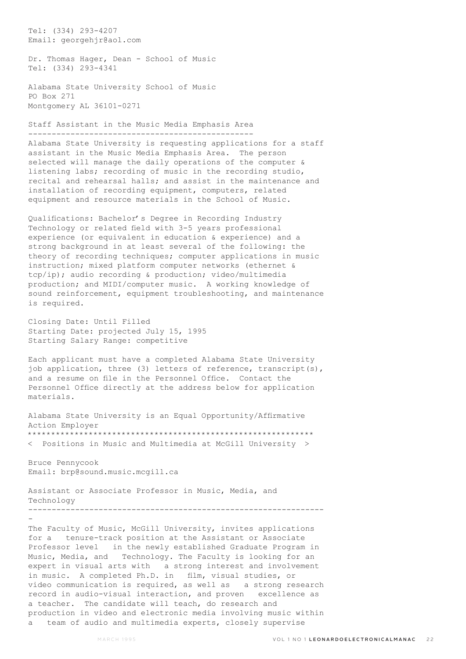Tel: (334) 293-4207 Email: georgehjr@aol.com

Dr. Thomas Hager, Dean - School of Music Tel: (334) 293-4341

Alabama State University School of Music PO Box 271 Montgomery AL 36101-0271

Staff Assistant in the Music Media Emphasis Area ------------------------------------------------

Alabama State University is requesting applications for a staff assistant in the Music Media Emphasis Area. The person selected will manage the daily operations of the computer & listening labs; recording of music in the recording studio, recital and rehearsal halls; and assist in the maintenance and installation of recording equipment, computers, related equipment and resource materials in the School of Music.

Qualifications: Bachelor's Degree in Recording Industry Technology or related field with 3-5 years professional experience (or equivalent in education & experience) and a strong background in at least several of the following: the theory of recording techniques; computer applications in music instruction; mixed platform computer networks (ethernet & tcp/ip); audio recording & production; video/multimedia production; and MIDI/computer music. A working knowledge of sound reinforcement, equipment troubleshooting, and maintenance is required.

Closing Date: Until Filled Starting Date: projected July 15, 1995 Starting Salary Range: competitive

Each applicant must have a completed Alabama State University job application, three (3) letters of reference, transcript(s), and a resume on file in the Personnel Office. Contact the Personnel Office directly at the address below for application materials.

Alabama State University is an Equal Opportunity/Affirmative Action Employer \*\*\*\*\*\*\*\*\*\*\*\*\*\*\*\*\*\*\*\*\*\*\*\*\*\*\*\*\*\*\*\*\*\*\*\*\*\*\*\*\*\*\*\*\*\*\*\*\*\*\*\*\*\*\*\*\*\*\*\*\* < Positions in Music and Multimedia at McGill University >

Bruce Pennycook Email: brp@sound.music.mcgill.ca

-

Assistant or Associate Professor in Music, Media, and Technology ---------------------------------------------------------------

The Faculty of Music, McGill University, invites applications for a tenure-track position at the Assistant or Associate Professor level in the newly established Graduate Program in Music, Media, and Technology. The Faculty is looking for an expert in visual arts with a strong interest and involvement in music. A completed Ph.D. in film, visual studies, or video communication is required, as well as a strong research record in audio-visual interaction, and proven excellence as a teacher. The candidate will teach, do research and production in video and electronic media involving music within a team of audio and multimedia experts, closely supervise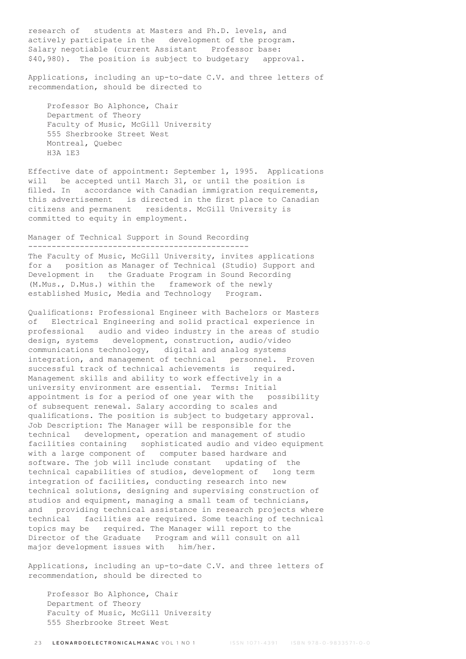research of students at Masters and Ph.D. levels, and actively participate in the development of the program. Salary negotiable (current Assistant Professor base: \$40,980). The position is subject to budgetary approval.

Applications, including an up-to-date C.V. and three letters of recommendation, should be directed to

 Professor Bo Alphonce, Chair Department of Theory Faculty of Music, McGill University 555 Sherbrooke Street West Montreal, Quebec H3A 1E3

Effective date of appointment: September 1, 1995. Applications will be accepted until March 31, or until the position is filled. In accordance with Canadian immigration requirements, this advertisement is directed in the first place to Canadian citizens and permanent residents. McGill University is committed to equity in employment.

## Manager of Technical Support in Sound Recording -----------------------------------------------

The Faculty of Music, McGill University, invites applications for a position as Manager of Technical (Studio) Support and Development in the Graduate Program in Sound Recording (M.Mus., D.Mus.) within the framework of the newly established Music, Media and Technology Program.

Qualifications: Professional Engineer with Bachelors or Masters of Electrical Engineering and solid practical experience in professional audio and video industry in the areas of studio design, systems development, construction, audio/video communications technology, digital and analog systems integration, and management of technical personnel. Proven successful track of technical achievements is required. Management skills and ability to work effectively in a university environment are essential. Terms: Initial appointment is for a period of one year with the possibility of subsequent renewal. Salary according to scales and qualifications. The position is subject to budgetary approval. Job Description: The Manager will be responsible for the technical development, operation and management of studio facilities containing sophisticated audio and video equipment with a large component of computer based hardware and software. The job will include constant updating of the technical capabilities of studios, development of long term integration of facilities, conducting research into new technical solutions, designing and supervising construction of studios and equipment, managing a small team of technicians, and providing technical assistance in research projects where technical facilities are required. Some teaching of technical topics may be required. The Manager will report to the Director of the Graduate Program and will consult on all major development issues with him/her.

Applications, including an up-to-date C.V. and three letters of recommendation, should be directed to

 Professor Bo Alphonce, Chair Department of Theory Faculty of Music, McGill University 555 Sherbrooke Street West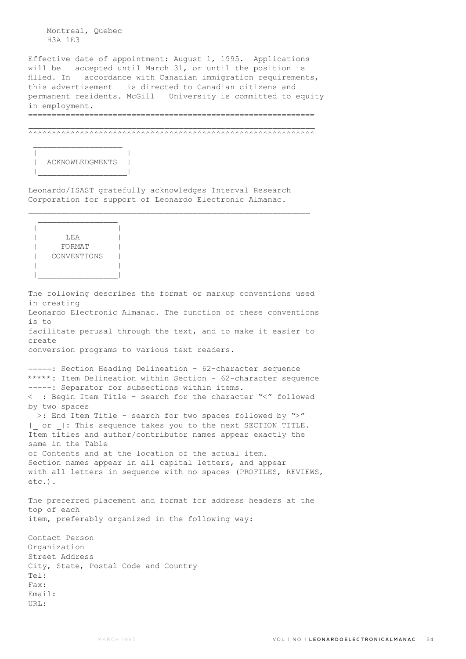Montreal, Quebec H3A 1E3

Effective date of appointment: August 1, 1995. Applications will be accepted until March 31, or until the position is filled. In accordance with Canadian immigration requirements, this advertisement is directed to Canadian citizens and permanent residents. McGill University is committed to equity in employment. =============================================================

 $\mathcal{L}_\text{max}$ ^^^^^^^^^^^^^^^^^^^^^^^^^^^^^^^^^^^^^^^^^^^^^^^^^^^^^^^^^^^^^



 $\mathcal{L}_\text{max}$ 

Leonardo/ISAST gratefully acknowledges Interval Research Corporation for support of Leonardo Electronic Almanac.

 $\mathcal{L}_\text{max}$ 

 $\mathcal{L}_\text{max}$  | | | LEA | |<br>| FORMAT | CONVENTIONS | | | |\_\_\_\_\_\_\_\_\_\_\_\_\_\_\_\_\_|

The following describes the format or markup conventions used in creating Leonardo Electronic Almanac. The function of these conventions is to facilitate perusal through the text, and to make it easier to create conversion programs to various text readers.

=====: Section Heading Delineation - 62-character sequence \*\*\*\*\*: Item Delineation within Section - 62-character sequence -----: Separator for subsections within items. < : Begin Item Title - search for the character "<" followed by two spaces >: End Item Title - search for two spaces followed by ">" or |: This sequence takes you to the next SECTION TITLE. Item titles and author/contributor names appear exactly the same in the Table of Contents and at the location of the actual item. Section names appear in all capital letters, and appear with all letters in sequence with no spaces (PROFILES, REVIEWS, etc.). The preferred placement and format for address headers at the top of each item, preferably organized in the following way: Contact Person

Organization Street Address City, State, Postal Code and Country Tel: Fax: Email: URL: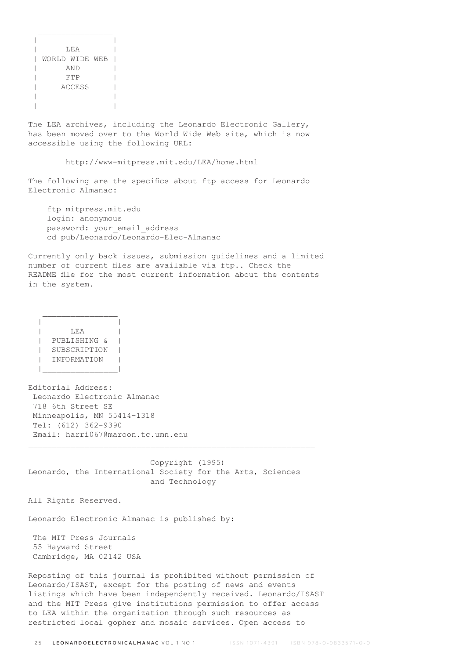| LEA            |  |
|----------------|--|
| WORLD WIDE WEB |  |
| AND            |  |
| FTP            |  |
| ACCESS         |  |
|                |  |
|                |  |

 $\frac{1}{2}$  ,  $\frac{1}{2}$  ,  $\frac{1}{2}$  ,  $\frac{1}{2}$  ,  $\frac{1}{2}$  ,  $\frac{1}{2}$  ,  $\frac{1}{2}$  ,  $\frac{1}{2}$  ,  $\frac{1}{2}$  ,  $\frac{1}{2}$  ,  $\frac{1}{2}$  ,  $\frac{1}{2}$  ,  $\frac{1}{2}$  ,  $\frac{1}{2}$  ,  $\frac{1}{2}$  ,  $\frac{1}{2}$  ,  $\frac{1}{2}$  ,  $\frac{1}{2}$  ,  $\frac{1$ 

The LEA archives, including the Leonardo Electronic Gallery, has been moved over to the World Wide Web site, which is now accessible using the following URL:

http://www-mitpress.mit.edu/LEA/home.html

The following are the specifics about ftp access for Leonardo Electronic Almanac:

 ftp mitpress.mit.edu login: anonymous password: your email address cd pub/Leonardo/Leonardo-Elec-Almanac

Currently only back issues, submission guidelines and a limited number of current files are available via ftp.. Check the README file for the most current information about the contents in the system.

 | | | LEA | | PUBLISHING & | | SUBSCRIPTION | | INFORMATION | |\_\_\_\_\_\_\_\_\_\_\_\_\_\_\_\_|

 $\mathcal{L}_\text{max}$ 

Editorial Address: Leonardo Electronic Almanac 718 6th Street SE Minneapolis, MN 55414-1318 Tel: (612) 362-9390 Email: harri067@maroon.tc.umn.edu

 Copyright (1995) Leonardo, the International Society for the Arts, Sciences and Technology

 $\_$  , and the set of the set of the set of the set of the set of the set of the set of the set of the set of the set of the set of the set of the set of the set of the set of the set of the set of the set of the set of th

All Rights Reserved.

Leonardo Electronic Almanac is published by:

 The MIT Press Journals 55 Hayward Street Cambridge, MA 02142 USA

Reposting of this journal is prohibited without permission of Leonardo/ISAST, except for the posting of news and events listings which have been independently received. Leonardo/ISAST and the MIT Press give institutions permission to offer access to LEA within the organization through such resources as restricted local gopher and mosaic services. Open access to